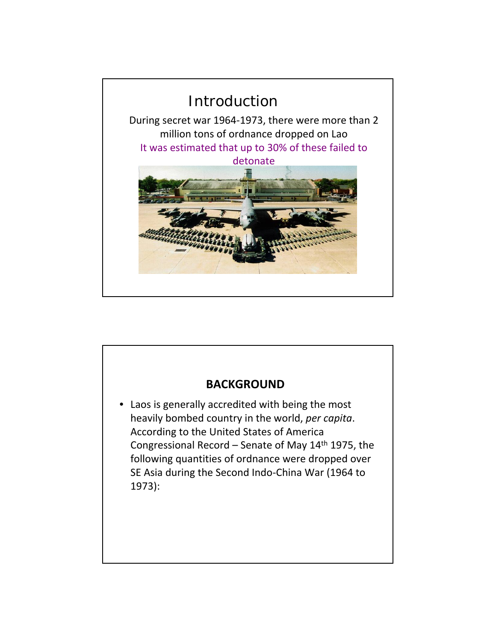

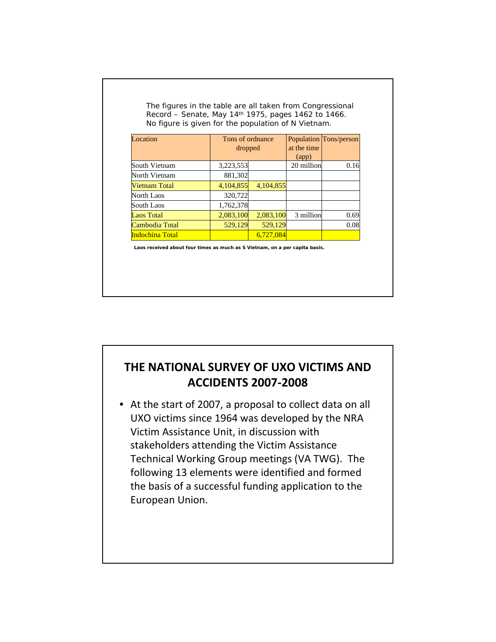| Location        | Tons of ordnance<br>dropped |           | at the time        | Population Tons/person |  |
|-----------------|-----------------------------|-----------|--------------------|------------------------|--|
|                 |                             |           | (ap <sub>p</sub> ) |                        |  |
| South Vietnam   | 3,223,553                   |           | 20 million         | 0.16                   |  |
| North Vietnam   | 881,302                     |           |                    |                        |  |
| Vietnam Total   | 4,104,855                   | 4.104.855 |                    |                        |  |
| North Laos      | 320,722                     |           |                    |                        |  |
| South Laos      | 1,762,378                   |           |                    |                        |  |
| Laos Total      | 2,083,100                   | 2,083,100 | 3 million          | 0.69                   |  |
| Cambodia Total  | 529,129                     | 529,129   |                    | 0.08                   |  |
| Indochina Total |                             | 6,727,084 |                    |                        |  |

## **THE NATIONAL SURVEY OF UXO VICTIMS AND ACCIDENTS 2007‐2008**

• At the start of 2007, a proposal to collect data on all UXO victims since 1964 was developed by the NRA Victim Assistance Unit, in discussion with stakeholders attending the Victim Assistance Technical Working Group meetings (VA TWG). The following 13 elements were identified and formed the basis of a successful funding application to the European Union.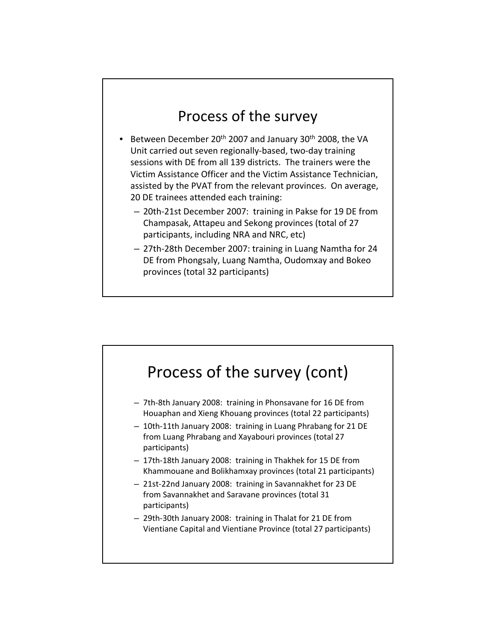## Process of the survey

- Between December 20<sup>th</sup> 2007 and January 30<sup>th</sup> 2008, the VA Unit carried out seven regionally‐based, two‐day training sessions with DE from all 139 districts. The trainers were the Victim Assistance Officer and the Victim Assistance Technician, assisted by the PVAT from the relevant provinces. On average, 20 DE trainees attended each training:
	- 20th‐21st December 2007: training in Pakse for 19 DE from Champasak, Attapeu and Sekong provinces (total of 27 participants, including NRA and NRC, etc)
	- 27th‐28th December 2007: training in Luang Namtha for 24 DE from Phongsaly, Luang Namtha, Oudomxay and Bokeo provinces (total 32 participants)

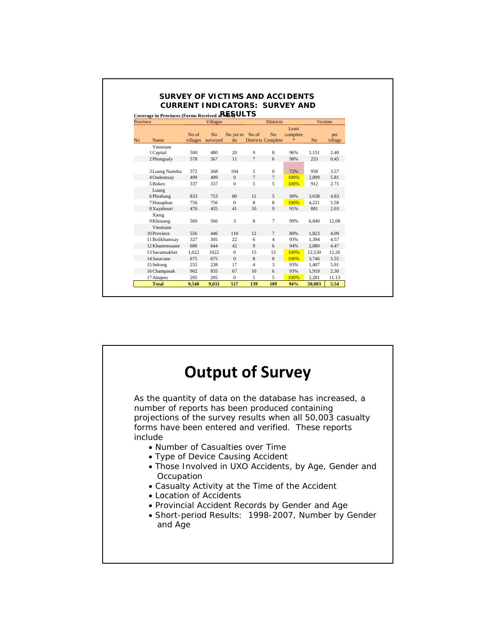|                                                |                 | <b>CURRENT INDICATORS: SURVEY AND</b> |              |                  |                           |          |                |         |  |  |  |  |  |
|------------------------------------------------|-----------------|---------------------------------------|--------------|------------------|---------------------------|----------|----------------|---------|--|--|--|--|--|
| Coverage in Provinces (Forms Received aRESULTS |                 |                                       |              |                  |                           |          |                |         |  |  |  |  |  |
| Province                                       | <b>Villages</b> |                                       |              | <b>Districts</b> |                           |          | <b>Victims</b> |         |  |  |  |  |  |
|                                                |                 |                                       |              |                  |                           | Least    |                |         |  |  |  |  |  |
|                                                | No of           | N <sub>0</sub>                        | No yet to    | No of            | N <sub>0</sub>            | complete |                | per     |  |  |  |  |  |
| Name<br>No                                     | villages        | surveyed                              | $d\Omega$    |                  | <b>Districts Complete</b> | *        | N <sub>o</sub> | village |  |  |  |  |  |
| Vientiane                                      |                 |                                       |              |                  |                           |          |                |         |  |  |  |  |  |
| 1 Capital                                      | 500             | 480                                   | 20           | 9                | 8                         | 96%      | 1.151          | 2.40    |  |  |  |  |  |
| 2 Phongsaly                                    | 578             | 567                                   | 11           | $\overline{7}$   | 6                         | 98%      | 253            | 0.45    |  |  |  |  |  |
|                                                |                 |                                       |              |                  |                           |          |                |         |  |  |  |  |  |
| 3 Luang Namtha                                 | 372             | 268                                   | 104          | 5                | $\mathbf{0}$              | 72%      | 958            | 3.57    |  |  |  |  |  |
| 4 Oudomxay                                     | 499             | 499                                   | $\Omega$     | $\overline{7}$   | $\tau$                    | 100%     | 2.899          | 5.81    |  |  |  |  |  |
| 5 Bokeo                                        | 337             | 337                                   | $\mathbf{0}$ | 5                | 5                         | 100%     | 912            | 2.71    |  |  |  |  |  |
| Luang                                          |                 |                                       |              |                  |                           |          |                |         |  |  |  |  |  |
| 6 Phrabang                                     | 833             | 753                                   | 80           | 11               | 5                         | 90%      | 3.638          | 4.83    |  |  |  |  |  |
| 7 Houaphan                                     | 756             | 756                                   | $\Omega$     | 8                | 8                         | 100%     | 4,221          | 5.58    |  |  |  |  |  |
| 8 Xayabouri                                    | 476             | 435                                   | 41           | 10               | $\mathbf{Q}$              | 91%      | 881            | 2.03    |  |  |  |  |  |
| Xieng                                          |                 |                                       |              |                  |                           |          |                |         |  |  |  |  |  |
| 9 Khouang                                      | 569             | 566                                   | 3            | 8                | $\tau$                    | 99%      | 6.840          | 12.08   |  |  |  |  |  |
| Vientiane                                      |                 |                                       |              |                  |                           |          |                |         |  |  |  |  |  |
| 10 Province                                    | 556             | 446                                   | 110          | 12               | $\tau$                    | 80%      | 1.823          | 4.09    |  |  |  |  |  |
| 11 Bolikhamxay                                 | 327             | 305                                   | 22           | 6                | $\overline{4}$            | 93%      | 1.394          | 4.57    |  |  |  |  |  |
| 12 Khammouane                                  | 686             | 644                                   | 42           | $\mathbf{Q}$     | 6                         | 94%      | 2.880          | 4.47    |  |  |  |  |  |
| 13 Savannakhet                                 | 1.022           | 1022                                  | $\mathbf{0}$ | 15               | 15                        | 100%     | 12.530         | 12.26   |  |  |  |  |  |
| 14 Saravane                                    | 675             | 675                                   | $\mathbf{0}$ | 8                | 8                         | 100%     | 3.746          | 5.55    |  |  |  |  |  |
| 15 Sekong                                      | 255             | 238                                   | 17           | $\overline{4}$   | 3                         | 93%      | 1,407          | 5.91    |  |  |  |  |  |
| 16 Champasak                                   | 902             | 835                                   | 67           | 10               | 6                         | 93%      | 1.919          | 2.30    |  |  |  |  |  |
| 17 Attapeu                                     | 205             | 205                                   | $\mathbf{0}$ | 5                | 5                         | 100%     | 2.281          | 11.13   |  |  |  |  |  |
| <b>Total</b>                                   | 9.548           | 9.031                                 | 517          | 139              | 109                       | 94%      | 50,003         | 5.54    |  |  |  |  |  |

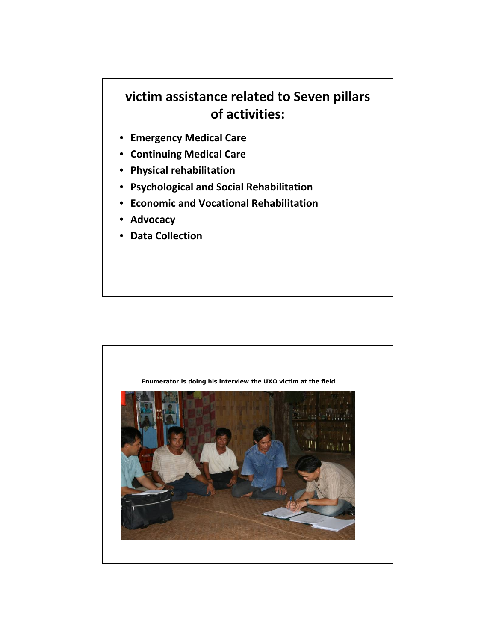## **victim assistance related to Seven pillars of activities:**

- **Emergency Medical Care**
- **Continuing Medical Care**
- **Physical rehabilitation**
- **Psychological and Social Rehabilitation**
- **Economic and Vocational Rehabilitation**
- **Advocacy**
- **Data Collection**